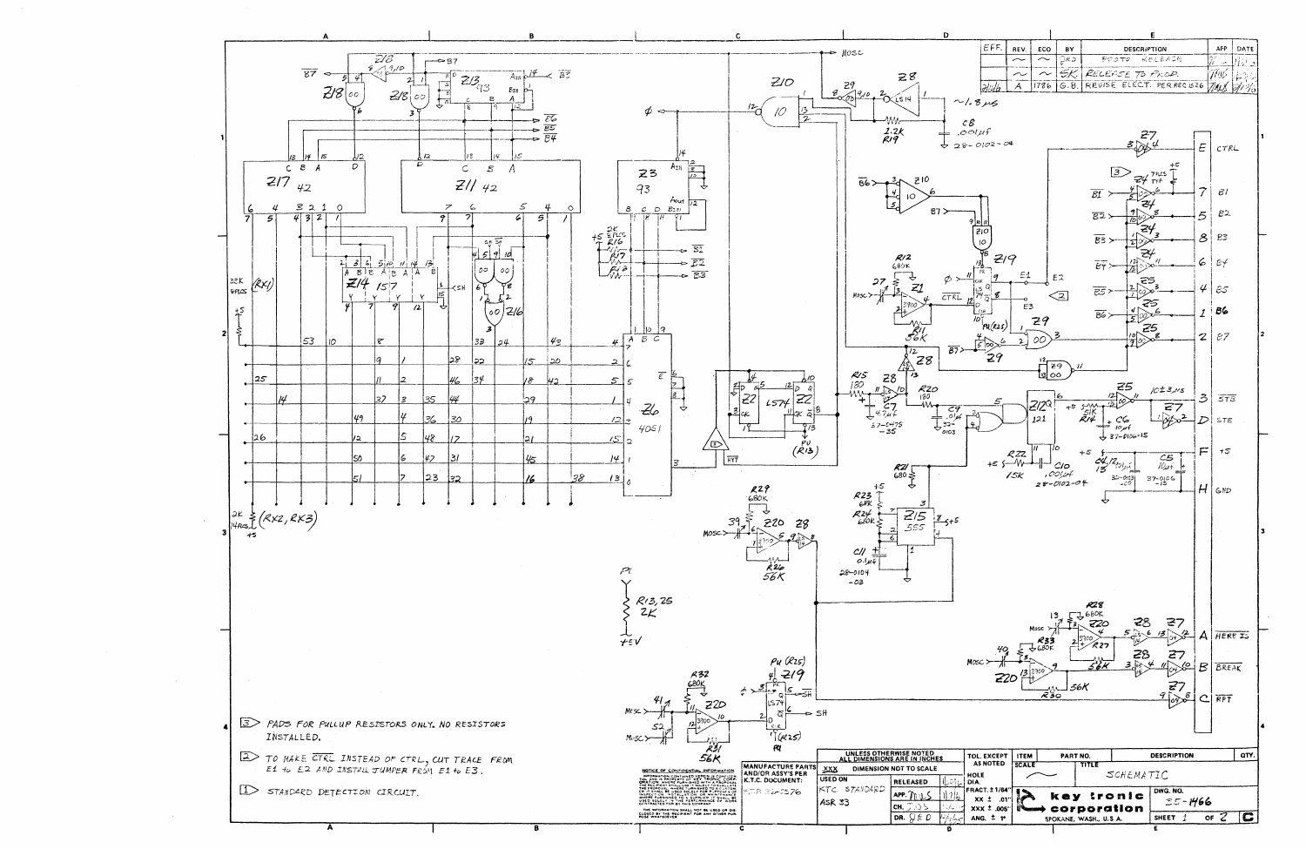

| FFF | REV | ECO | вv | DESCRIPTION                       | APP | DATE |  |  |  |
|-----|-----|-----|----|-----------------------------------|-----|------|--|--|--|
|     |     |     |    | PPOTO RELEASE                     |     |      |  |  |  |
|     |     |     |    | SK. RELEASE TO PROD.              |     |      |  |  |  |
|     |     |     |    | G.B. REVISE ELECT. PER RECISZ6 74 |     |      |  |  |  |
|     |     |     |    |                                   |     |      |  |  |  |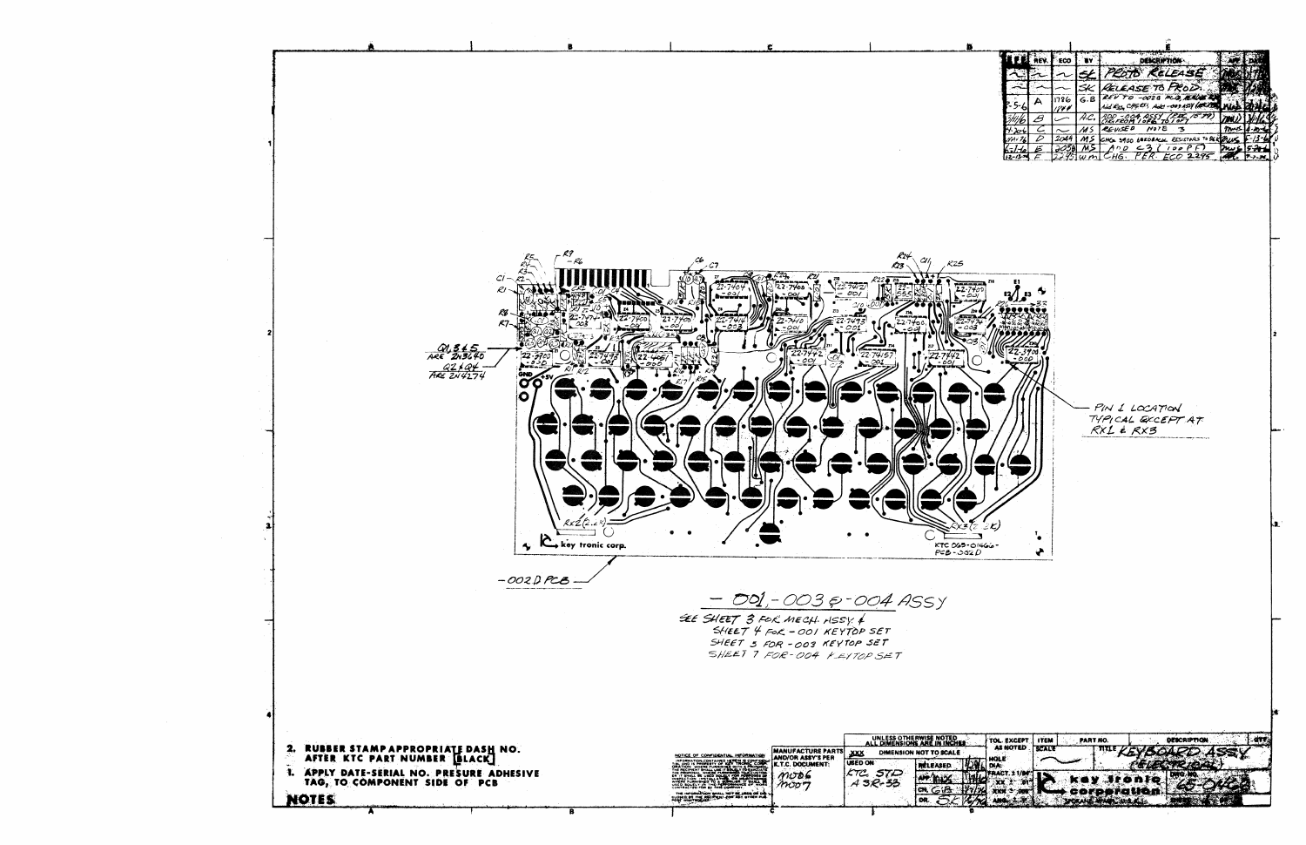

|  | ECO. |     |                                                           |  |
|--|------|-----|-----------------------------------------------------------|--|
|  |      |     | - 2                                                       |  |
|  |      |     | בגחם<br>4 TE 70                                           |  |
|  | 1786 | G.B | 24 PCB, AEAD<br>Add -003 ASSY (ACCA 200)<br>Add R35 CHG 2 |  |
|  |      |     | SSY_{LEE_                                                 |  |
|  |      |     | NOTE                                                      |  |
|  |      |     | <b>BEDBACK RESISTARS TO SER</b><br>Che saoo               |  |
|  |      |     |                                                           |  |
|  |      |     | HG.                                                       |  |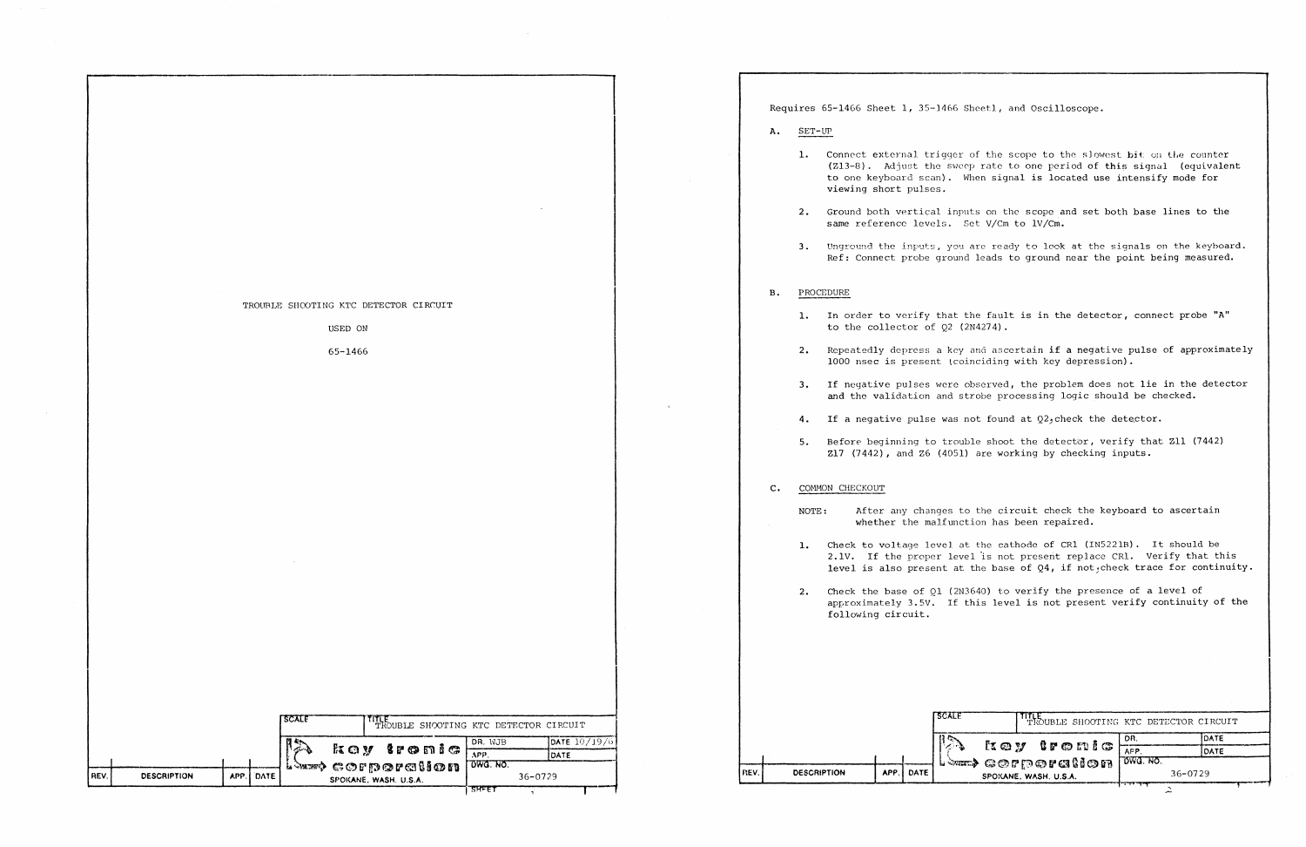1. Connect external trigger of the scope to the slowest bit on the counter  $(213-8)$ . Adjust the sweep rate to one period of this signal (equivalent to one keyboard scan). When signal is located use intensify mode for

|      |                    |              |       |                       | TROUBLE SHOOTING KTC DETECTOR CIRCUIT      |                 |                        |  |  |  |
|------|--------------------|--------------|-------|-----------------------|--------------------------------------------|-----------------|------------------------|--|--|--|
|      |                    |              |       | USED ON               |                                            |                 |                        |  |  |  |
|      |                    |              |       |                       |                                            |                 |                        |  |  |  |
|      |                    |              |       | 65-1466               |                                            |                 |                        |  |  |  |
|      |                    |              |       |                       |                                            |                 |                        |  |  |  |
|      |                    |              |       |                       |                                            |                 |                        |  |  |  |
|      |                    |              |       |                       |                                            |                 |                        |  |  |  |
|      |                    |              |       |                       |                                            |                 |                        |  |  |  |
|      |                    |              |       |                       |                                            |                 |                        |  |  |  |
|      |                    |              |       |                       |                                            |                 |                        |  |  |  |
|      |                    |              |       |                       |                                            |                 |                        |  |  |  |
|      |                    |              |       |                       |                                            |                 |                        |  |  |  |
|      |                    |              |       |                       |                                            |                 |                        |  |  |  |
|      |                    |              |       |                       |                                            |                 |                        |  |  |  |
|      |                    |              |       |                       |                                            |                 |                        |  |  |  |
|      |                    |              |       |                       |                                            |                 |                        |  |  |  |
|      |                    |              |       |                       |                                            |                 |                        |  |  |  |
|      |                    |              |       |                       |                                            |                 |                        |  |  |  |
|      |                    |              |       |                       |                                            |                 |                        |  |  |  |
|      |                    |              |       |                       |                                            |                 |                        |  |  |  |
|      |                    |              |       |                       |                                            |                 |                        |  |  |  |
|      |                    |              |       |                       |                                            |                 |                        |  |  |  |
|      |                    |              |       |                       |                                            |                 |                        |  |  |  |
|      |                    |              |       |                       |                                            |                 |                        |  |  |  |
|      |                    |              |       |                       |                                            |                 |                        |  |  |  |
|      |                    |              |       |                       |                                            |                 |                        |  |  |  |
|      |                    |              |       |                       |                                            |                 |                        |  |  |  |
|      |                    |              |       |                       |                                            |                 |                        |  |  |  |
|      |                    |              |       |                       |                                            |                 |                        |  |  |  |
|      |                    |              |       |                       |                                            |                 |                        |  |  |  |
|      |                    |              | SCALE |                       | THLE TROUBLE SHOOTING KTC DETECTOR CIRCUIT |                 |                        |  |  |  |
|      |                    |              |       |                       | koy tronic                                 | DR. WJB         | DATE 10/19/6           |  |  |  |
|      |                    |              |       |                       |                                            | APP.            | DATE                   |  |  |  |
| REV. | <b>DESCRIPTION</b> | APP.<br>DATE |       |                       | <b>Law corporallon</b>                     | <b>OWG. NO.</b> | 36-0729                |  |  |  |
|      |                    |              |       | SPOKANE, WASH. U.S.A. |                                            |                 |                        |  |  |  |
|      |                    |              |       |                       |                                            |                 | SREF<br>$\overline{A}$ |  |  |  |

Requires 65-1466 Sheet 1, 35-1466 Shcetl, and Oscilloscope.

- A. SET-LIP
	- viewing short pulses.
	- same reference levels. Set V/Cm to lV/Cm.
	-

2. Ground both vertical inputs on the scope and set both base lines to the

NOTE: After any changes to the circuit check the keyboard to ascertain whether the malfunction has been repaired.

1. Check to voltage level at the cathode of CRl (IN5221B). It should be 2.1V. If the proper level is not present replace CR1. Verify that this level is also present at the base of Q4, if not, check trace for continuity.

3. Unground the inputs, you are ready to look at the signals on the keyboard. Ref: Connect probe ground leads to ground near the point being measured.

## B. PROCEDURE

2. Check the base of Ql (2N3640) to verify the presence of a level of approximately 3.5V. If this level is not present verify continuity of the

1. In order to verify that the fault is in the detector, connect probe "A"

2. Repeatedly depress a key and ascertain if a negative pulse of approximately 1000 nsec is present (coinciding with key depression).

- to the collector of Q2 (2N4274).
- 
- 
- 
- 

3. If negative pulses were observed, the problem does not lie in the detector and the validation and strobe processing logic should be checked.

4. If a negative pulse was not found at  $Q2$ , check the detector.

5. Before beginning to trouble shoot the detector, verify that Zll (7442) Zl7 (7442), and Z6 (4051) are working by checking inputs.

## C. COMMON CHECKOUT

- -
- following circuit.

|      |                    |     |      | <b>LECALE</b> | TILE SHOOTING KTC DETECTOR CIRCUIT                |              |              |
|------|--------------------|-----|------|---------------|---------------------------------------------------|--------------|--------------|
|      |                    |     |      |               |                                                   | OR.          | <b>IDATE</b> |
|      |                    |     |      |               | $\alpha \nu$ tronic                               | APP          | <b>DATE</b>  |
| REV. | <b>DESCRIPTION</b> | APP | DATE |               | <b>Least corporation</b><br>SPOKANE, WASH. U.S.A. | $T$ owa. No. | $36 - 0729$  |